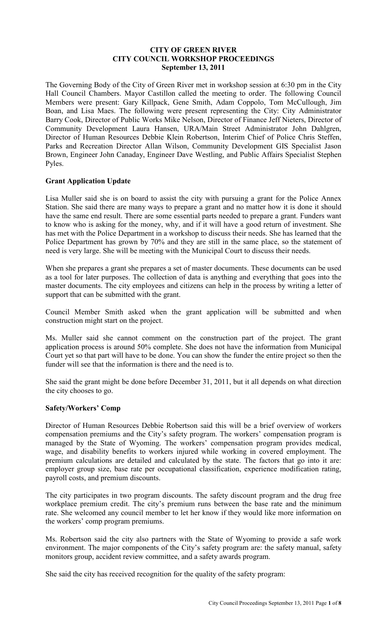#### **CITY OF GREEN RIVER CITY COUNCIL WORKSHOP PROCEEDINGS September 13, 2011**

The Governing Body of the City of Green River met in workshop session at 6:30 pm in the City Hall Council Chambers. Mayor Castillon called the meeting to order. The following Council Members were present: Gary Killpack, Gene Smith, Adam Coppolo, Tom McCullough, Jim Boan, and Lisa Maes. The following were present representing the City: City Administrator Barry Cook, Director of Public Works Mike Nelson, Director of Finance Jeff Nieters, Director of Community Development Laura Hansen, URA/Main Street Administrator John Dahlgren, Director of Human Resources Debbie Klein Robertson, Interim Chief of Police Chris Steffen, Parks and Recreation Director Allan Wilson, Community Development GIS Specialist Jason Brown, Engineer John Canaday, Engineer Dave Westling, and Public Affairs Specialist Stephen Pyles.

# **Grant Application Update**

Lisa Muller said she is on board to assist the city with pursuing a grant for the Police Annex Station. She said there are many ways to prepare a grant and no matter how it is done it should have the same end result. There are some essential parts needed to prepare a grant. Funders want to know who is asking for the money, why, and if it will have a good return of investment. She has met with the Police Department in a workshop to discuss their needs. She has learned that the Police Department has grown by 70% and they are still in the same place, so the statement of need is very large. She will be meeting with the Municipal Court to discuss their needs.

When she prepares a grant she prepares a set of master documents. These documents can be used as a tool for later purposes. The collection of data is anything and everything that goes into the master documents. The city employees and citizens can help in the process by writing a letter of support that can be submitted with the grant.

Council Member Smith asked when the grant application will be submitted and when construction might start on the project.

Ms. Muller said she cannot comment on the construction part of the project. The grant application process is around 50% complete. She does not have the information from Municipal Court yet so that part will have to be done. You can show the funder the entire project so then the funder will see that the information is there and the need is to.

She said the grant might be done before December 31, 2011, but it all depends on what direction the city chooses to go.

# **Safety/Workers' Comp**

Director of Human Resources Debbie Robertson said this will be a brief overview of workers compensation premiums and the City's safety program. The workers' compensation program is managed by the State of Wyoming. The workers' compensation program provides medical, wage, and disability benefits to workers injured while working in covered employment. The premium calculations are detailed and calculated by the state. The factors that go into it are: employer group size, base rate per occupational classification, experience modification rating, payroll costs, and premium discounts.

The city participates in two program discounts. The safety discount program and the drug free workplace premium credit. The city's premium runs between the base rate and the minimum rate. She welcomed any council member to let her know if they would like more information on the workers' comp program premiums.

Ms. Robertson said the city also partners with the State of Wyoming to provide a safe work environment. The major components of the City's safety program are: the safety manual, safety monitors group, accident review committee, and a safety awards program.

She said the city has received recognition for the quality of the safety program: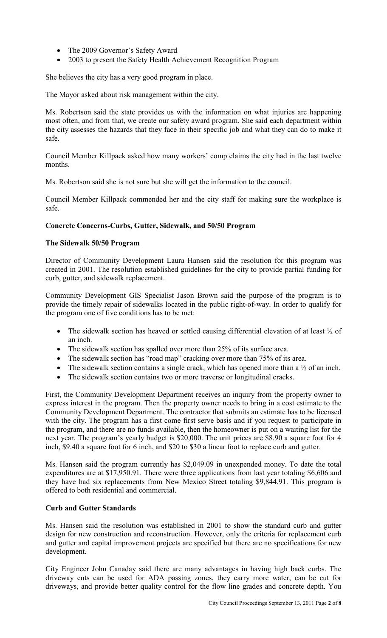- The 2009 Governor's Safety Award
- 2003 to present the Safety Health Achievement Recognition Program

She believes the city has a very good program in place.

The Mayor asked about risk management within the city.

Ms. Robertson said the state provides us with the information on what injuries are happening most often, and from that, we create our safety award program. She said each department within the city assesses the hazards that they face in their specific job and what they can do to make it safe.

Council Member Killpack asked how many workers' comp claims the city had in the last twelve months.

Ms. Robertson said she is not sure but she will get the information to the council.

Council Member Killpack commended her and the city staff for making sure the workplace is safe.

# **Concrete Concerns-Curbs, Gutter, Sidewalk, and 50/50 Program**

# **The Sidewalk 50/50 Program**

Director of Community Development Laura Hansen said the resolution for this program was created in 2001. The resolution established guidelines for the city to provide partial funding for curb, gutter, and sidewalk replacement.

Community Development GIS Specialist Jason Brown said the purpose of the program is to provide the timely repair of sidewalks located in the public right-of-way. In order to qualify for the program one of five conditions has to be met:

- The sidewalk section has heaved or settled causing differential elevation of at least  $\frac{1}{2}$  of an inch.
- The sidewalk section has spalled over more than 25% of its surface area.
- The sidewalk section has "road map" cracking over more than 75% of its area.
- The sidewalk section contains a single crack, which has opened more than a  $\frac{1}{2}$  of an inch.
- The sidewalk section contains two or more traverse or longitudinal cracks.

First, the Community Development Department receives an inquiry from the property owner to express interest in the program. Then the property owner needs to bring in a cost estimate to the Community Development Department. The contractor that submits an estimate has to be licensed with the city. The program has a first come first serve basis and if you request to participate in the program, and there are no funds available, then the homeowner is put on a waiting list for the next year. The program's yearly budget is \$20,000. The unit prices are \$8.90 a square foot for 4 inch, \$9.40 a square foot for 6 inch, and \$20 to \$30 a linear foot to replace curb and gutter.

Ms. Hansen said the program currently has \$2,049.09 in unexpended money. To date the total expenditures are at \$17,950.91. There were three applications from last year totaling \$6,606 and they have had six replacements from New Mexico Street totaling \$9,844.91. This program is offered to both residential and commercial.

# **Curb and Gutter Standards**

Ms. Hansen said the resolution was established in 2001 to show the standard curb and gutter design for new construction and reconstruction. However, only the criteria for replacement curb and gutter and capital improvement projects are specified but there are no specifications for new development.

City Engineer John Canaday said there are many advantages in having high back curbs. The driveway cuts can be used for ADA passing zones, they carry more water, can be cut for driveways, and provide better quality control for the flow line grades and concrete depth. You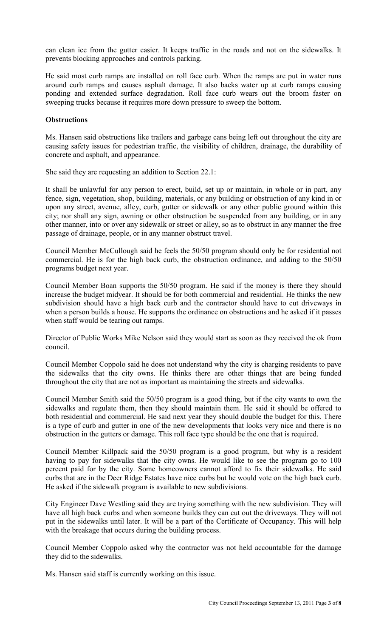can clean ice from the gutter easier. It keeps traffic in the roads and not on the sidewalks. It prevents blocking approaches and controls parking.

He said most curb ramps are installed on roll face curb. When the ramps are put in water runs around curb ramps and causes asphalt damage. It also backs water up at curb ramps causing ponding and extended surface degradation. Roll face curb wears out the broom faster on sweeping trucks because it requires more down pressure to sweep the bottom.

#### **Obstructions**

Ms. Hansen said obstructions like trailers and garbage cans being left out throughout the city are causing safety issues for pedestrian traffic, the visibility of children, drainage, the durability of concrete and asphalt, and appearance.

She said they are requesting an addition to Section 22.1:

It shall be unlawful for any person to erect, build, set up or maintain, in whole or in part, any fence, sign, vegetation, shop, building, materials, or any building or obstruction of any kind in or upon any street, avenue, alley, curb, gutter or sidewalk or any other public ground within this city; nor shall any sign, awning or other obstruction be suspended from any building, or in any other manner, into or over any sidewalk or street or alley, so as to obstruct in any manner the free passage of drainage, people, or in any manner obstruct travel.

Council Member McCullough said he feels the 50/50 program should only be for residential not commercial. He is for the high back curb, the obstruction ordinance, and adding to the 50/50 programs budget next year.

Council Member Boan supports the 50/50 program. He said if the money is there they should increase the budget midyear. It should be for both commercial and residential. He thinks the new subdivision should have a high back curb and the contractor should have to cut driveways in when a person builds a house. He supports the ordinance on obstructions and he asked if it passes when staff would be tearing out ramps.

Director of Public Works Mike Nelson said they would start as soon as they received the ok from council.

Council Member Coppolo said he does not understand why the city is charging residents to pave the sidewalks that the city owns. He thinks there are other things that are being funded throughout the city that are not as important as maintaining the streets and sidewalks.

Council Member Smith said the 50/50 program is a good thing, but if the city wants to own the sidewalks and regulate them, then they should maintain them. He said it should be offered to both residential and commercial. He said next year they should double the budget for this. There is a type of curb and gutter in one of the new developments that looks very nice and there is no obstruction in the gutters or damage. This roll face type should be the one that is required.

Council Member Killpack said the 50/50 program is a good program, but why is a resident having to pay for sidewalks that the city owns. He would like to see the program go to 100 percent paid for by the city. Some homeowners cannot afford to fix their sidewalks. He said curbs that are in the Deer Ridge Estates have nice curbs but he would vote on the high back curb. He asked if the sidewalk program is available to new subdivisions.

City Engineer Dave Westling said they are trying something with the new subdivision. They will have all high back curbs and when someone builds they can cut out the driveways. They will not put in the sidewalks until later. It will be a part of the Certificate of Occupancy. This will help with the breakage that occurs during the building process.

Council Member Coppolo asked why the contractor was not held accountable for the damage they did to the sidewalks.

Ms. Hansen said staff is currently working on this issue.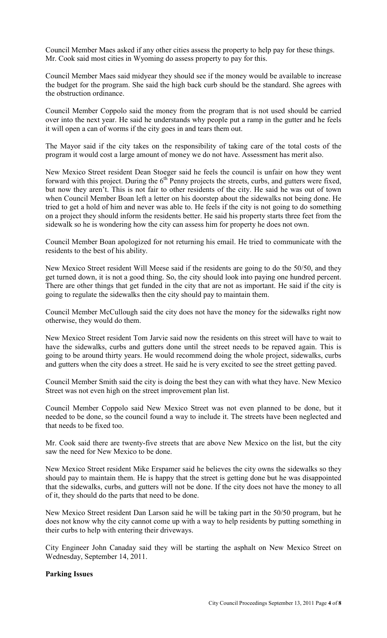Council Member Maes asked if any other cities assess the property to help pay for these things. Mr. Cook said most cities in Wyoming do assess property to pay for this.

Council Member Maes said midyear they should see if the money would be available to increase the budget for the program. She said the high back curb should be the standard. She agrees with the obstruction ordinance.

Council Member Coppolo said the money from the program that is not used should be carried over into the next year. He said he understands why people put a ramp in the gutter and he feels it will open a can of worms if the city goes in and tears them out.

The Mayor said if the city takes on the responsibility of taking care of the total costs of the program it would cost a large amount of money we do not have. Assessment has merit also.

New Mexico Street resident Dean Stoeger said he feels the council is unfair on how they went forward with this project. During the  $6<sup>th</sup>$  Penny projects the streets, curbs, and gutters were fixed, but now they aren't. This is not fair to other residents of the city. He said he was out of town when Council Member Boan left a letter on his doorstep about the sidewalks not being done. He tried to get a hold of him and never was able to. He feels if the city is not going to do something on a project they should inform the residents better. He said his property starts three feet from the sidewalk so he is wondering how the city can assess him for property he does not own.

Council Member Boan apologized for not returning his email. He tried to communicate with the residents to the best of his ability.

New Mexico Street resident Will Meese said if the residents are going to do the 50/50, and they get turned down, it is not a good thing. So, the city should look into paying one hundred percent. There are other things that get funded in the city that are not as important. He said if the city is going to regulate the sidewalks then the city should pay to maintain them.

Council Member McCullough said the city does not have the money for the sidewalks right now otherwise, they would do them.

New Mexico Street resident Tom Jarvie said now the residents on this street will have to wait to have the sidewalks, curbs and gutters done until the street needs to be repaved again. This is going to be around thirty years. He would recommend doing the whole project, sidewalks, curbs and gutters when the city does a street. He said he is very excited to see the street getting paved.

Council Member Smith said the city is doing the best they can with what they have. New Mexico Street was not even high on the street improvement plan list.

Council Member Coppolo said New Mexico Street was not even planned to be done, but it needed to be done, so the council found a way to include it. The streets have been neglected and that needs to be fixed too.

Mr. Cook said there are twenty-five streets that are above New Mexico on the list, but the city saw the need for New Mexico to be done.

New Mexico Street resident Mike Erspamer said he believes the city owns the sidewalks so they should pay to maintain them. He is happy that the street is getting done but he was disappointed that the sidewalks, curbs, and gutters will not be done. If the city does not have the money to all of it, they should do the parts that need to be done.

New Mexico Street resident Dan Larson said he will be taking part in the 50/50 program, but he does not know why the city cannot come up with a way to help residents by putting something in their curbs to help with entering their driveways.

City Engineer John Canaday said they will be starting the asphalt on New Mexico Street on Wednesday, September 14, 2011.

#### **Parking Issues**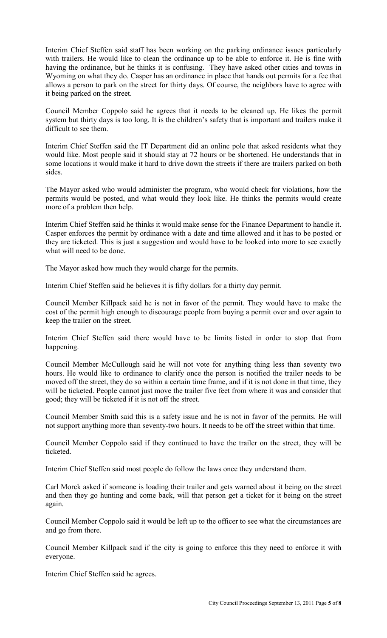Interim Chief Steffen said staff has been working on the parking ordinance issues particularly with trailers. He would like to clean the ordinance up to be able to enforce it. He is fine with having the ordinance, but he thinks it is confusing. They have asked other cities and towns in Wyoming on what they do. Casper has an ordinance in place that hands out permits for a fee that allows a person to park on the street for thirty days. Of course, the neighbors have to agree with it being parked on the street.

Council Member Coppolo said he agrees that it needs to be cleaned up. He likes the permit system but thirty days is too long. It is the children's safety that is important and trailers make it difficult to see them.

Interim Chief Steffen said the IT Department did an online pole that asked residents what they would like. Most people said it should stay at 72 hours or be shortened. He understands that in some locations it would make it hard to drive down the streets if there are trailers parked on both sides.

The Mayor asked who would administer the program, who would check for violations, how the permits would be posted, and what would they look like. He thinks the permits would create more of a problem then help.

Interim Chief Steffen said he thinks it would make sense for the Finance Department to handle it. Casper enforces the permit by ordinance with a date and time allowed and it has to be posted or they are ticketed. This is just a suggestion and would have to be looked into more to see exactly what will need to be done.

The Mayor asked how much they would charge for the permits.

Interim Chief Steffen said he believes it is fifty dollars for a thirty day permit.

Council Member Killpack said he is not in favor of the permit. They would have to make the cost of the permit high enough to discourage people from buying a permit over and over again to keep the trailer on the street.

Interim Chief Steffen said there would have to be limits listed in order to stop that from happening.

Council Member McCullough said he will not vote for anything thing less than seventy two hours. He would like to ordinance to clarify once the person is notified the trailer needs to be moved off the street, they do so within a certain time frame, and if it is not done in that time, they will be ticketed. People cannot just move the trailer five feet from where it was and consider that good; they will be ticketed if it is not off the street.

Council Member Smith said this is a safety issue and he is not in favor of the permits. He will not support anything more than seventy-two hours. It needs to be off the street within that time.

Council Member Coppolo said if they continued to have the trailer on the street, they will be ticketed.

Interim Chief Steffen said most people do follow the laws once they understand them.

Carl Morck asked if someone is loading their trailer and gets warned about it being on the street and then they go hunting and come back, will that person get a ticket for it being on the street again.

Council Member Coppolo said it would be left up to the officer to see what the circumstances are and go from there.

Council Member Killpack said if the city is going to enforce this they need to enforce it with everyone.

Interim Chief Steffen said he agrees.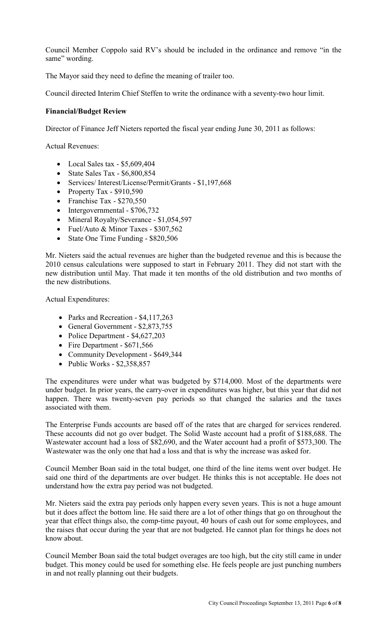Council Member Coppolo said RV's should be included in the ordinance and remove "in the same" wording.

The Mayor said they need to define the meaning of trailer too.

Council directed Interim Chief Steffen to write the ordinance with a seventy-two hour limit.

# **Financial/Budget Review**

Director of Finance Jeff Nieters reported the fiscal year ending June 30, 2011 as follows:

Actual Revenues:

- Local Sales tax  $$5,609,404$
- State Sales Tax \$6,800,854
- Services/ Interest/License/Permit/Grants \$1,197,668
- Property Tax  $-$  \$910,590
- Franchise Tax \$270,550
- Intergovernmental \$706,732
- Mineral Royalty/Severance \$1,054,597
- Fuel/Auto & Minor Taxes \$307,562
- State One Time Funding \$820,506

Mr. Nieters said the actual revenues are higher than the budgeted revenue and this is because the 2010 census calculations were supposed to start in February 2011. They did not start with the new distribution until May. That made it ten months of the old distribution and two months of the new distributions.

Actual Expenditures:

- Parks and Recreation \$4,117,263
- General Government \$2,873,755
- Police Department \$4,627,203
- Fire Department \$671,566
- Community Development \$649,344
- Public Works  $$2,358,857$

The expenditures were under what was budgeted by \$714,000. Most of the departments were under budget. In prior years, the carry-over in expenditures was higher, but this year that did not happen. There was twenty-seven pay periods so that changed the salaries and the taxes associated with them.

The Enterprise Funds accounts are based off of the rates that are charged for services rendered. These accounts did not go over budget. The Solid Waste account had a profit of \$188,688. The Wastewater account had a loss of \$82,690, and the Water account had a profit of \$573,300. The Wastewater was the only one that had a loss and that is why the increase was asked for.

Council Member Boan said in the total budget, one third of the line items went over budget. He said one third of the departments are over budget. He thinks this is not acceptable. He does not understand how the extra pay period was not budgeted.

Mr. Nieters said the extra pay periods only happen every seven years. This is not a huge amount but it does affect the bottom line. He said there are a lot of other things that go on throughout the year that effect things also, the comp-time payout, 40 hours of cash out for some employees, and the raises that occur during the year that are not budgeted. He cannot plan for things he does not know about.

Council Member Boan said the total budget overages are too high, but the city still came in under budget. This money could be used for something else. He feels people are just punching numbers in and not really planning out their budgets.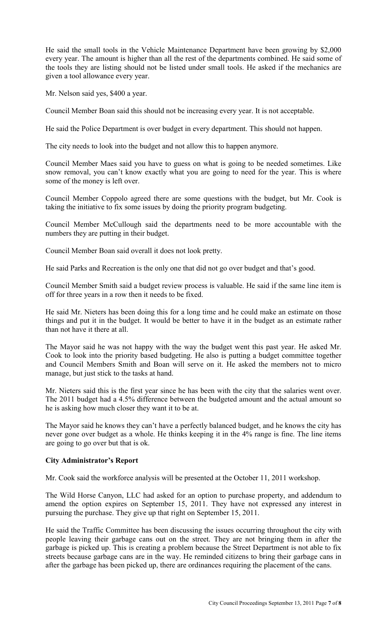He said the small tools in the Vehicle Maintenance Department have been growing by \$2,000 every year. The amount is higher than all the rest of the departments combined. He said some of the tools they are listing should not be listed under small tools. He asked if the mechanics are given a tool allowance every year.

Mr. Nelson said yes, \$400 a year.

Council Member Boan said this should not be increasing every year. It is not acceptable.

He said the Police Department is over budget in every department. This should not happen.

The city needs to look into the budget and not allow this to happen anymore.

Council Member Maes said you have to guess on what is going to be needed sometimes. Like snow removal, you can't know exactly what you are going to need for the year. This is where some of the money is left over.

Council Member Coppolo agreed there are some questions with the budget, but Mr. Cook is taking the initiative to fix some issues by doing the priority program budgeting.

Council Member McCullough said the departments need to be more accountable with the numbers they are putting in their budget.

Council Member Boan said overall it does not look pretty.

He said Parks and Recreation is the only one that did not go over budget and that's good.

Council Member Smith said a budget review process is valuable. He said if the same line item is off for three years in a row then it needs to be fixed.

He said Mr. Nieters has been doing this for a long time and he could make an estimate on those things and put it in the budget. It would be better to have it in the budget as an estimate rather than not have it there at all.

The Mayor said he was not happy with the way the budget went this past year. He asked Mr. Cook to look into the priority based budgeting. He also is putting a budget committee together and Council Members Smith and Boan will serve on it. He asked the members not to micro manage, but just stick to the tasks at hand.

Mr. Nieters said this is the first year since he has been with the city that the salaries went over. The 2011 budget had a 4.5% difference between the budgeted amount and the actual amount so he is asking how much closer they want it to be at.

The Mayor said he knows they can't have a perfectly balanced budget, and he knows the city has never gone over budget as a whole. He thinks keeping it in the 4% range is fine. The line items are going to go over but that is ok.

# **City Administrator's Report**

Mr. Cook said the workforce analysis will be presented at the October 11, 2011 workshop.

The Wild Horse Canyon, LLC had asked for an option to purchase property, and addendum to amend the option expires on September 15, 2011. They have not expressed any interest in pursuing the purchase. They give up that right on September 15, 2011.

He said the Traffic Committee has been discussing the issues occurring throughout the city with people leaving their garbage cans out on the street. They are not bringing them in after the garbage is picked up. This is creating a problem because the Street Department is not able to fix streets because garbage cans are in the way. He reminded citizens to bring their garbage cans in after the garbage has been picked up, there are ordinances requiring the placement of the cans.